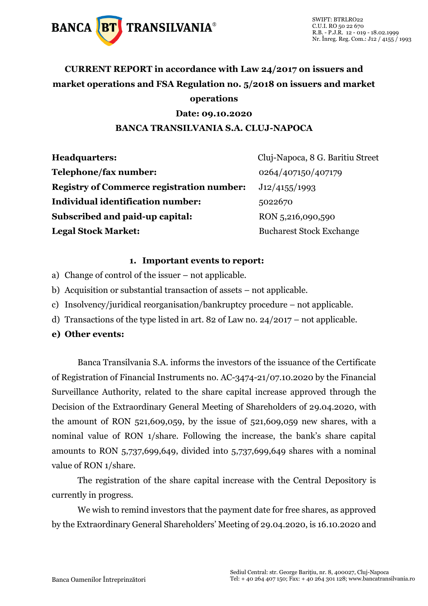

### **CURRENT REPORT in accordance with Law 24/2017 on issuers and market operations and FSA Regulation no. 5/2018 on issuers and market operations**

#### **Date: 09.10.2020**

#### **BANCA TRANSILVANIA S.A. CLUJ-NAPOCA**

| <b>Headquarters:</b>                             | Cluj-Napoca, 8 G. Baritiu Street |
|--------------------------------------------------|----------------------------------|
| Telephone/fax number:                            | 0264/407150/407179               |
| <b>Registry of Commerce registration number:</b> | J12/4155/1993                    |
| Individual identification number:                | 5022670                          |
| Subscribed and paid-up capital:                  | RON 5,216,090,590                |
| <b>Legal Stock Market:</b>                       | <b>Bucharest Stock Exchange</b>  |

#### **1. Important events to report:**

- a) Change of control of the issuer not applicable.
- b) Acquisition or substantial transaction of assets not applicable.
- c) Insolvency/juridical reorganisation/bankruptcy procedure not applicable.
- d) Transactions of the type listed in art. 82 of Law no. 24/2017 not applicable.
- **e) Other events:**

Banca Transilvania S.A. informs the investors of the issuance of the Certificate of Registration of Financial Instruments no. AC-3474-21/07.10.2020 by the Financial Surveillance Authority, related to the share capital increase approved through the Decision of the Extraordinary General Meeting of Shareholders of 29.04.2020, with the amount of RON  $521,609,059$ , by the issue of  $521,609,059$  new shares, with a nominal value of RON 1/share. Following the increase, the bank's share capital amounts to RON 5,737,699,649, divided into 5,737,699,649 shares with a nominal value of RON 1/share.

The registration of the share capital increase with the Central Depository is currently in progress.

We wish to remind investors that the payment date for free shares, as approved by the Extraordinary General Shareholders' Meeting of 29.04.2020, is 16.10.2020 and